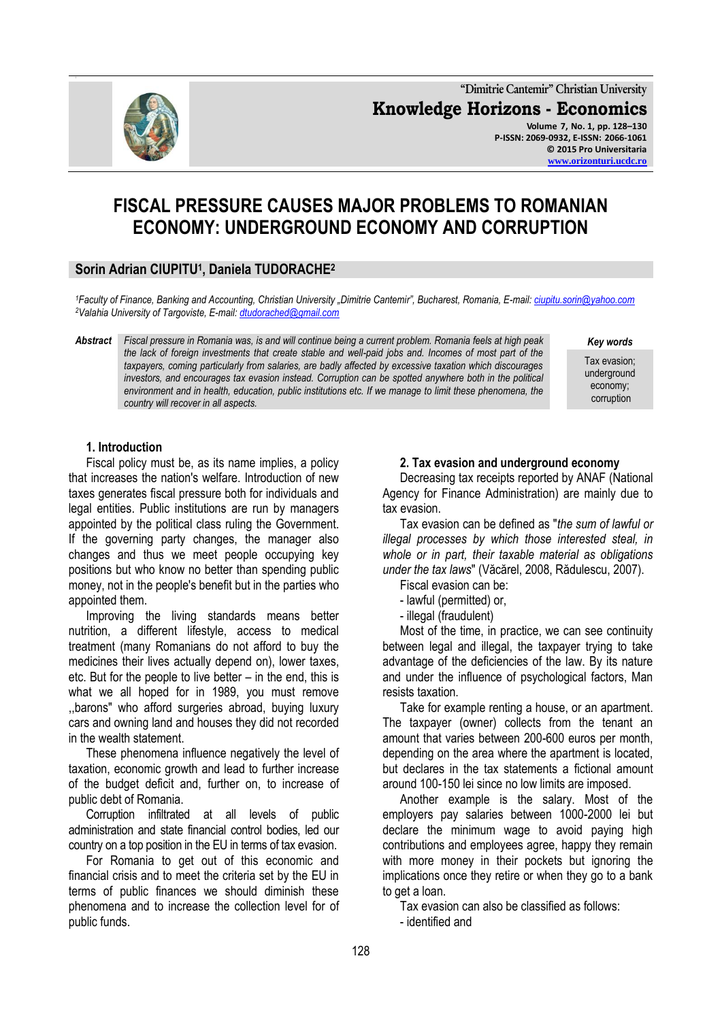**"Dimitrie Cantemir" Christian University Knowledge Horizons - Economics Volume 7, No. 1, pp. 128–130 P-ISSN: 2069-0932, E-ISSN: 2066-1061 © 2015 Pro Universitaria [www.orizonturi.ucdc.ro](http://www.orizonturi.ucdc.ro/)**

# **FISCAL PRESSURE CAUSES MAJOR PROBLEMS TO ROMANIAN ECONOMY: UNDERGROUND ECONOMY AND CORRUPTION**

# **Sorin Adrian CIUPITU<sup>1</sup> , Daniela TUDORACHE<sup>2</sup>**

*<sup>1</sup>Faculty of Finance, Banking and Accounting, Christian University "Dimitrie Cantemir", Bucharest, Romania, E-mail[: ciupitu.sorin@yahoo.com](mailto:ciupitu.sorin@yahoo.com) <sup>2</sup>Valahia University of Targoviste, E-mail[: dtudorached@gmail.com](mailto:dtudorached@gmail.com)*

*Abstract Fiscal pressure in Romania was, is and will continue being a current problem. Romania feels at high peak the lack of foreign investments that create stable and well-paid jobs and. Incomes of most part of the taxpayers, coming particularly from salaries, are badly affected by excessive taxation which discourages investors, and encourages tax evasion instead. Corruption can be spotted anywhere both in the political environment and in health, education, public institutions etc. If we manage to limit these phenomena, the country will recover in all aspects.*

*Key words*

Tax evasion; underground economy; corruption

## **1. Introduction**

Fiscal policy must be, as its name implies, a policy that increases the nation's welfare. Introduction of new taxes generates fiscal pressure both for individuals and legal entities. Public institutions are run by managers appointed by the political class ruling the Government. If the governing party changes, the manager also changes and thus we meet people occupying key positions but who know no better than spending public money, not in the people's benefit but in the parties who appointed them.

Improving the living standards means better nutrition, a different lifestyle, access to medical treatment (many Romanians do not afford to buy the medicines their lives actually depend on), lower taxes, etc. But for the people to live better – in the end, this is what we all hoped for in 1989, you must remove ,,barons" who afford surgeries abroad, buying luxury cars and owning land and houses they did not recorded in the wealth statement.

These phenomena influence negatively the level of taxation, economic growth and lead to further increase of the budget deficit and, further on, to increase of public debt of Romania.

Corruption infiltrated at all levels of public administration and state financial control bodies, led our country on a top position in the EU in terms of tax evasion.

For Romania to get out of this economic and financial crisis and to meet the criteria set by the EU in terms of public finances we should diminish these phenomena and to increase the collection level for of public funds.

#### **2. Tax evasion and underground economy**

Decreasing tax receipts reported by ANAF (National Agency for Finance Administration) are mainly due to tax evasion.

Tax evasion can be defined as "*the sum of lawful or illegal processes by which those interested steal, in whole or in part, their taxable material as obligations under the tax laws*" (Văcărel, 2008, Rădulescu, 2007).

Fiscal evasion can be:

- lawful (permitted) or,
- illegal (fraudulent)

Most of the time, in practice, we can see continuity between legal and illegal, the taxpayer trying to take advantage of the deficiencies of the law. By its nature and under the influence of psychological factors, Man resists taxation.

Take for example renting a house, or an apartment. The taxpayer (owner) collects from the tenant an amount that varies between 200-600 euros per month, depending on the area where the apartment is located, but declares in the tax statements a fictional amount around 100-150 lei since no low limits are imposed.

Another example is the salary. Most of the employers pay salaries between 1000-2000 lei but declare the minimum wage to avoid paying high contributions and employees agree, happy they remain with more money in their pockets but ignoring the implications once they retire or when they go to a bank to get a loan.

Tax evasion can also be classified as follows:

- identified and

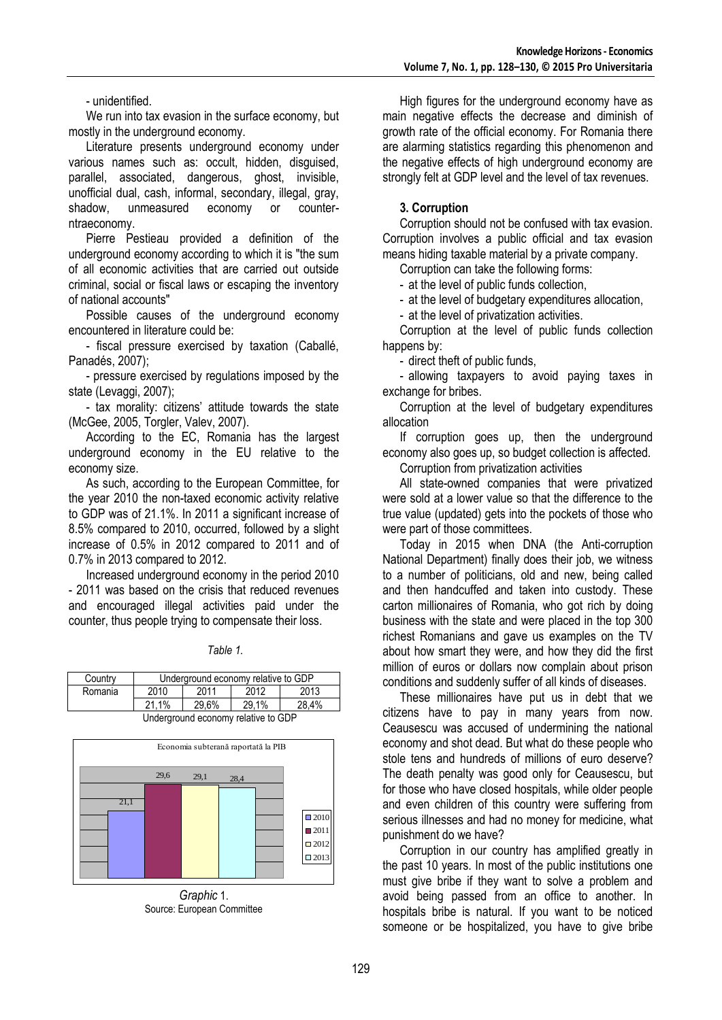- unidentified.

We run into tax evasion in the surface economy, but mostly in the underground economy.

Literature presents underground economy under various names such as: occult, hidden, disguised, parallel, associated, dangerous, ghost, invisible, unofficial dual, cash, informal, secondary, illegal, gray, shadow, unmeasured economy or counterntraeconomy.

Pierre Pestieau provided a definition of the underground economy according to which it is "the sum of all economic activities that are carried out outside criminal, social or fiscal laws or escaping the inventory of national accounts"

Possible causes of the underground economy encountered in literature could be:

- fiscal pressure exercised by taxation (Caballé, Panadés, 2007);

- pressure exercised by regulations imposed by the state (Levaggi, 2007);

- tax morality: citizens' attitude towards the state (McGee, 2005, Torgler, Valev, 2007).

According to the EC, Romania has the largest underground economy in the EU relative to the economy size.

As such, according to the European Committee, for the year 2010 the non-taxed economic activity relative to GDP was of 21.1%. In 2011 a significant increase of 8.5% compared to 2010, occurred, followed by a slight increase of 0.5% in 2012 compared to 2011 and of 0.7% in 2013 compared to 2012.

Increased underground economy in the period 2010 - 2011 was based on the crisis that reduced revenues and encouraged illegal activities paid under the counter, thus people trying to compensate their loss.

| Country                             | Underground economy relative to GDP |       |       |       |  |  |  |
|-------------------------------------|-------------------------------------|-------|-------|-------|--|--|--|
| Romania                             | 2010                                | 2011  | 2012  | 2013  |  |  |  |
|                                     | 21.1%                               | 29.6% | 29.1% | 28.4% |  |  |  |
| Underground economy relative to GDP |                                     |       |       |       |  |  |  |



*Graphic* 1. Source: European Committee

High figures for the underground economy have as main negative effects the decrease and diminish of growth rate of the official economy. For Romania there are alarming statistics regarding this phenomenon and the negative effects of high underground economy are strongly felt at GDP level and the level of tax revenues.

# **3. Corruption**

Corruption should not be confused with tax evasion. Corruption involves a public official and tax evasion means hiding taxable material by a private company.

Corruption can take the following forms:

- at the level of public funds collection,

- at the level of budgetary expenditures allocation,

- at the level of privatization activities.

Corruption at the level of public funds collection happens by:

- direct theft of public funds,

- allowing taxpayers to avoid paying taxes in exchange for bribes.

Corruption at the level of budgetary expenditures allocation

If corruption goes up, then the underground economy also goes up, so budget collection is affected.

Corruption from privatization activities

All state-owned companies that were privatized were sold at a lower value so that the difference to the true value (updated) gets into the pockets of those who were part of those committees.

Today in 2015 when DNA (the Anti-corruption National Department) finally does their job, we witness to a number of politicians, old and new, being called and then handcuffed and taken into custody. These carton millionaires of Romania, who got rich by doing business with the state and were placed in the top 300 richest Romanians and gave us examples on the TV about how smart they were, and how they did the first million of euros or dollars now complain about prison conditions and suddenly suffer of all kinds of diseases.

These millionaires have put us in debt that we citizens have to pay in many years from now. Ceausescu was accused of undermining the national economy and shot dead. But what do these people who stole tens and hundreds of millions of euro deserve? The death penalty was good only for Ceausescu, but for those who have closed hospitals, while older people and even children of this country were suffering from serious illnesses and had no money for medicine, what punishment do we have?

Corruption in our country has amplified greatly in the past 10 years. In most of the public institutions one must give bribe if they want to solve a problem and avoid being passed from an office to another. In hospitals bribe is natural. If you want to be noticed someone or be hospitalized, you have to give bribe